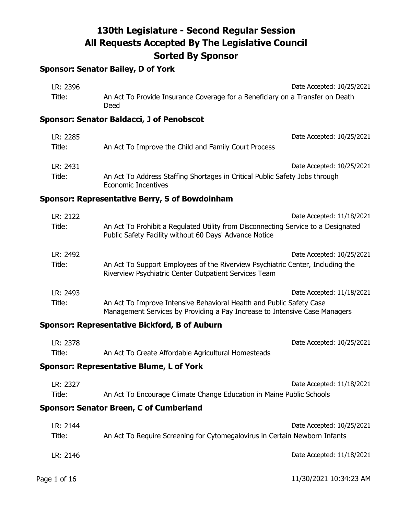# **Sponsor: Senator Bailey, D of York**

| LR: 2396 |                                                                                                           | Date Accepted: 10/25/2021 |
|----------|-----------------------------------------------------------------------------------------------------------|---------------------------|
| Title:   | An Act To Provide Insurance Coverage for a Beneficiary on a Transfer on Death<br>Deed                     |                           |
|          | Sponsor: Senator Baldacci, J of Penobscot                                                                 |                           |
| LR: 2285 |                                                                                                           | Date Accepted: 10/25/2021 |
| Title:   | An Act To Improve the Child and Family Court Process                                                      |                           |
| LR: 2431 |                                                                                                           | Date Accepted: 10/25/2021 |
| Title:   | An Act To Address Staffing Shortages in Critical Public Safety Jobs through<br><b>Economic Incentives</b> |                           |

### **Sponsor: Representative Berry, S of Bowdoinham**

| LR: 2122 | Date Accepted: 11/18/2021                                                                                                                          |
|----------|----------------------------------------------------------------------------------------------------------------------------------------------------|
| Title:   | An Act To Prohibit a Regulated Utility from Disconnecting Service to a Designated<br>Public Safety Facility without 60 Days' Advance Notice        |
| LR: 2492 | Date Accepted: 10/25/2021                                                                                                                          |
| Title:   | An Act To Support Employees of the Riverview Psychiatric Center, Including the<br>Riverview Psychiatric Center Outpatient Services Team            |
| LR: 2493 | Date Accepted: 11/18/2021                                                                                                                          |
| Title:   | An Act To Improve Intensive Behavioral Health and Public Safety Case<br>Management Services by Providing a Pay Increase to Intensive Case Managers |

## **Sponsor: Representative Bickford, B of Auburn**

| LR: 2378 |                                                     | Date Accepted: 10/25/2021 |
|----------|-----------------------------------------------------|---------------------------|
| Title:   | An Act To Create Affordable Agricultural Homesteads |                           |

# **Sponsor: Representative Blume, L of York**

| LR: 2327 | Date Accepted: 11/18/2021                                            |
|----------|----------------------------------------------------------------------|
| Title:   | An Act To Encourage Climate Change Education in Maine Public Schools |

# **Sponsor: Senator Breen, C of Cumberland**

| LR: 2144 | Date Accepted: 10/25/2021                                                  |
|----------|----------------------------------------------------------------------------|
| Title:   | An Act To Require Screening for Cytomegalovirus in Certain Newborn Infants |
|          |                                                                            |
| LR: 2146 | Date Accepted: 11/18/2021                                                  |
|          |                                                                            |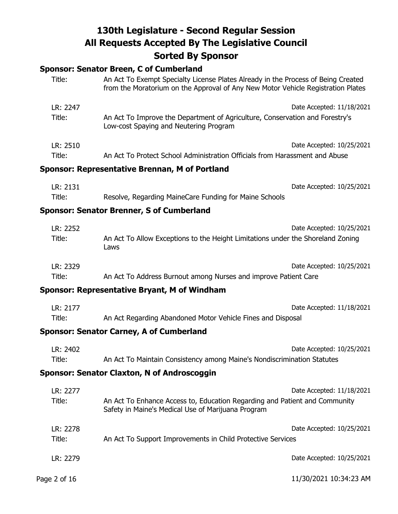# **Sponsor: Senator Breen, C of Cumberland**

| Title:             | An Act To Exempt Specialty License Plates Already in the Process of Being Created<br>from the Moratorium on the Approval of Any New Motor Vehicle Registration Plates |  |
|--------------------|-----------------------------------------------------------------------------------------------------------------------------------------------------------------------|--|
| LR: 2247<br>Title: | Date Accepted: 11/18/2021<br>An Act To Improve the Department of Agriculture, Conservation and Forestry's<br>Low-cost Spaying and Neutering Program                   |  |
| LR: 2510<br>Title: | Date Accepted: 10/25/2021<br>An Act To Protect School Administration Officials from Harassment and Abuse                                                              |  |
|                    | <b>Sponsor: Representative Brennan, M of Portland</b>                                                                                                                 |  |
| LR: 2131<br>Title: | Date Accepted: 10/25/2021<br>Resolve, Regarding MaineCare Funding for Maine Schools                                                                                   |  |
|                    | <b>Sponsor: Senator Brenner, S of Cumberland</b>                                                                                                                      |  |
| LR: 2252<br>Title: | Date Accepted: 10/25/2021<br>An Act To Allow Exceptions to the Height Limitations under the Shoreland Zoning<br>Laws                                                  |  |
| LR: 2329<br>Title: | Date Accepted: 10/25/2021<br>An Act To Address Burnout among Nurses and improve Patient Care                                                                          |  |
|                    | <b>Sponsor: Representative Bryant, M of Windham</b>                                                                                                                   |  |
| LR: 2177<br>Title: | Date Accepted: 11/18/2021<br>An Act Regarding Abandoned Motor Vehicle Fines and Disposal<br><b>Sponsor: Senator Carney, A of Cumberland</b>                           |  |
| LR: 2402<br>Title: | Date Accepted: 10/25/2021<br>An Act To Maintain Consistency among Maine's Nondiscrimination Statutes<br><b>Sponsor: Senator Claxton, N of Androscoggin</b>            |  |
|                    |                                                                                                                                                                       |  |
| LR: 2277<br>Title: | Date Accepted: 11/18/2021<br>An Act To Enhance Access to, Education Regarding and Patient and Community<br>Safety in Maine's Medical Use of Marijuana Program         |  |
| LR: 2278<br>Title: | Date Accepted: 10/25/2021<br>An Act To Support Improvements in Child Protective Services                                                                              |  |
| LR: 2279           | Date Accepted: 10/25/2021                                                                                                                                             |  |
| Page 2 of 16       | 11/30/2021 10:34:23 AM                                                                                                                                                |  |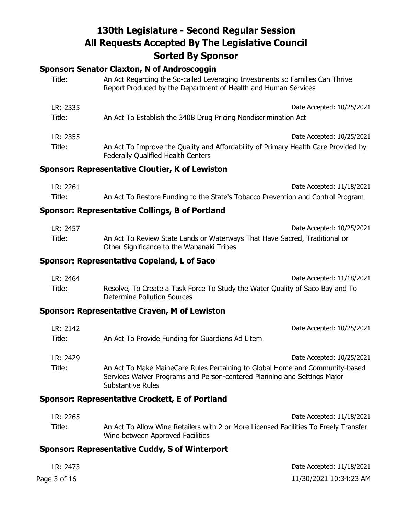# **Sponsor: Senator Claxton, N of Androscoggin**

| Title:             | An Act Regarding the So-called Leveraging Investments so Families Can Thrive<br>Report Produced by the Department of Health and Human Services                         |  |
|--------------------|------------------------------------------------------------------------------------------------------------------------------------------------------------------------|--|
| LR: 2335<br>Title: | Date Accepted: 10/25/2021<br>An Act To Establish the 340B Drug Pricing Nondiscrimination Act                                                                           |  |
| LR: 2355<br>Title: | Date Accepted: 10/25/2021<br>An Act To Improve the Quality and Affordability of Primary Health Care Provided by<br><b>Federally Qualified Health Centers</b>           |  |
|                    | Sponsor: Representative Cloutier, K of Lewiston                                                                                                                        |  |
| LR: 2261<br>Title: | Date Accepted: 11/18/2021<br>An Act To Restore Funding to the State's Tobacco Prevention and Control Program<br><b>Sponsor: Representative Collings, B of Portland</b> |  |
| LR: 2457<br>Title: | Date Accepted: 10/25/2021<br>An Act To Review State Lands or Waterways That Have Sacred, Traditional or<br>Other Significance to the Wabanaki Tribes                   |  |

### **Sponsor: Representative Copeland, L of Saco**

| LR: 2464 | Date Accepted: 11/18/2021                                                                                    |
|----------|--------------------------------------------------------------------------------------------------------------|
| Title:   | Resolve, To Create a Task Force To Study the Water Quality of Saco Bay and To<br>Determine Pollution Sources |

## **Sponsor: Representative Craven, M of Lewiston**

| LR: 2142<br>Title: | Date Accepted: 10/25/2021<br>An Act To Provide Funding for Guardians Ad Litem                                                                                                        |  |
|--------------------|--------------------------------------------------------------------------------------------------------------------------------------------------------------------------------------|--|
| LR: 2429           | Date Accepted: 10/25/2021                                                                                                                                                            |  |
| Title:             | An Act To Make MaineCare Rules Pertaining to Global Home and Community-based<br>Services Waiver Programs and Person-centered Planning and Settings Major<br><b>Substantive Rules</b> |  |

## **Sponsor: Representative Crockett, E of Portland**

| LR: 2265 | Date Accepted: 11/18/2021                                                            |
|----------|--------------------------------------------------------------------------------------|
| Title:   | An Act To Allow Wine Retailers with 2 or More Licensed Facilities To Freely Transfer |
|          | Wine between Approved Facilities                                                     |

# **Sponsor: Representative Cuddy, S of Winterport**

| LR: 2473     | Date Accepted: 11/18/2021 |
|--------------|---------------------------|
| Page 3 of 16 | 11/30/2021 10:34:23 AM    |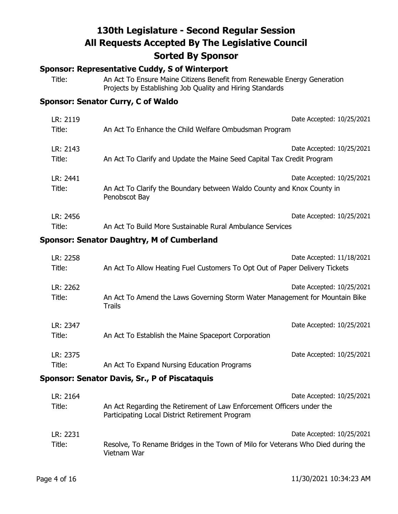### **Sponsor: Representative Cuddy, S of Winterport**

Title: An Act To Ensure Maine Citizens Benefit from Renewable Energy Generation Projects by Establishing Job Quality and Hiring Standards

## **Sponsor: Senator Curry, C of Waldo**

| LR: 2119           | Date Accepted: 10/25/2021                                                                                            |
|--------------------|----------------------------------------------------------------------------------------------------------------------|
| Title:             | An Act To Enhance the Child Welfare Ombudsman Program                                                                |
| LR: 2143           | Date Accepted: 10/25/2021                                                                                            |
| Title:             | An Act To Clarify and Update the Maine Seed Capital Tax Credit Program                                               |
| LR: 2441<br>Title: | Date Accepted: 10/25/2021<br>An Act To Clarify the Boundary between Waldo County and Knox County in<br>Penobscot Bay |
| LR: 2456           | Date Accepted: 10/25/2021                                                                                            |
| Title:             | An Act To Build More Sustainable Rural Ambulance Services                                                            |

### **Sponsor: Senator Daughtry, M of Cumberland**

| LR: 2258<br>Title: | An Act To Allow Heating Fuel Customers To Opt Out of Paper Delivery Tickets                  | Date Accepted: 11/18/2021 |
|--------------------|----------------------------------------------------------------------------------------------|---------------------------|
| LR: 2262<br>Title: | An Act To Amend the Laws Governing Storm Water Management for Mountain Bike<br><b>Trails</b> | Date Accepted: 10/25/2021 |
| LR: 2347<br>Title: | An Act To Establish the Maine Spaceport Corporation                                          | Date Accepted: 10/25/2021 |
| LR: 2375<br>Title: | An Act To Expand Nursing Education Programs                                                  | Date Accepted: 10/25/2021 |

## **Sponsor: Senator Davis, Sr., P of Piscataquis**

| LR: 2164 | Date Accepted: 10/25/2021                                                                                                |
|----------|--------------------------------------------------------------------------------------------------------------------------|
| Title:   | An Act Regarding the Retirement of Law Enforcement Officers under the<br>Participating Local District Retirement Program |
| LR: 2231 | Date Accepted: 10/25/2021                                                                                                |
| Title:   | Resolve, To Rename Bridges in the Town of Milo for Veterans Who Died during the<br>Vietnam War                           |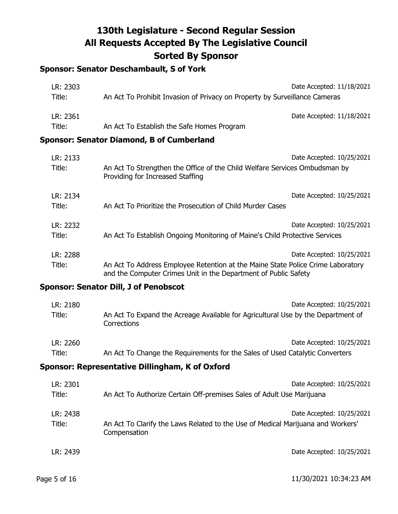# **Sponsor: Senator Deschambault, S of York**

| LR: 2303 | Date Accepted: 11/18/2021                                                  |
|----------|----------------------------------------------------------------------------|
| Title:   | An Act To Prohibit Invasion of Privacy on Property by Surveillance Cameras |
| LR: 2361 | Date Accepted: 11/18/2021                                                  |
| Title:   | An Act To Establish the Safe Homes Program                                 |
|          | oncor: Conator Diamond D of Cumborland                                     |

#### **Sponsor: Senator Diamond, B of Cumberland**

| LR: 2133<br>Title: | An Act To Strengthen the Office of the Child Welfare Services Ombudsman by<br>Providing for Increased Staffing                                     | Date Accepted: 10/25/2021 |
|--------------------|----------------------------------------------------------------------------------------------------------------------------------------------------|---------------------------|
| LR: 2134<br>Title: | An Act To Prioritize the Prosecution of Child Murder Cases                                                                                         | Date Accepted: 10/25/2021 |
| LR: 2232<br>Title: | An Act To Establish Ongoing Monitoring of Maine's Child Protective Services                                                                        | Date Accepted: 10/25/2021 |
| LR: 2288           |                                                                                                                                                    | Date Accepted: 10/25/2021 |
| Title:             | An Act To Address Employee Retention at the Maine State Police Crime Laboratory<br>and the Computer Crimes Unit in the Department of Public Safety |                           |

## **Sponsor: Senator Dill, J of Penobscot**

| LR: 2180 | Date Accepted: 10/25/2021                                                                       |
|----------|-------------------------------------------------------------------------------------------------|
| Title:   | An Act To Expand the Acreage Available for Agricultural Use by the Department of<br>Corrections |
| LR: 2260 | Date Accepted: 10/25/2021                                                                       |
| Title:   | An Act To Change the Requirements for the Sales of Used Catalytic Converters                    |
|          | Sponsor: Representative Dillingham, K of Oxford                                                 |
| LR: 2301 | Date Accepted: 10/25/2021                                                                       |

| LK: 2301<br>Title: | Dale Accepted: 10/23/2021<br>An Act To Authorize Certain Off-premises Sales of Adult Use Marijuana                           |
|--------------------|------------------------------------------------------------------------------------------------------------------------------|
| LR: 2438<br>Title: | Date Accepted: 10/25/2021<br>An Act To Clarify the Laws Related to the Use of Medical Marijuana and Workers'<br>Compensation |
| LR: 2439           | Date Accepted: 10/25/2021                                                                                                    |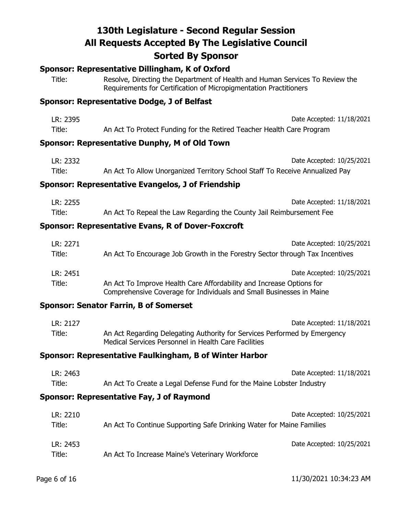### **Sponsor: Representative Dillingham, K of Oxford**

Title: Resolve, Directing the Department of Health and Human Services To Review the Requirements for Certification of Micropigmentation Practitioners

#### **Sponsor: Representative Dodge, J of Belfast**

| LR: 2395 | Date Accepted: 11/18/2021                                             |
|----------|-----------------------------------------------------------------------|
| Title:   | An Act To Protect Funding for the Retired Teacher Health Care Program |

#### **Sponsor: Representative Dunphy, M of Old Town**

| LR: 2332 | Date Accepted: 10/25/2021                                                    |
|----------|------------------------------------------------------------------------------|
| Title:   | An Act To Allow Unorganized Territory School Staff To Receive Annualized Pay |

#### **Sponsor: Representative Evangelos, J of Friendship**

| LR: 2255 | Date Accepted: 11/18/2021                                            |
|----------|----------------------------------------------------------------------|
| Title:   | An Act To Repeal the Law Regarding the County Jail Reimbursement Fee |

## **Sponsor: Representative Evans, R of Dover-Foxcroft**

| LR: 2271 | Date Accepted: 10/25/2021                                                    |
|----------|------------------------------------------------------------------------------|
| Title:   | An Act To Encourage Job Growth in the Forestry Sector through Tax Incentives |
| LR: 2451 | Date Accepted: 10/25/2021                                                    |
| Title:   | An Act To Improve Health Care Affordability and Increase Options for         |
|          | Comprehensive Coverage for Individuals and Small Businesses in Maine         |

#### **Sponsor: Senator Farrin, B of Somerset**

| LR: 2127 | Date Accepted: 11/18/2021                                                                                                         |
|----------|-----------------------------------------------------------------------------------------------------------------------------------|
| Title:   | An Act Regarding Delegating Authority for Services Performed by Emergency<br>Medical Services Personnel in Health Care Facilities |

#### **Sponsor: Representative Faulkingham, B of Winter Harbor**

| LR: 2463 | Date Accepted: 11/18/2021                                            |
|----------|----------------------------------------------------------------------|
| Title:   | An Act To Create a Legal Defense Fund for the Maine Lobster Industry |

#### **Sponsor: Representative Fay, J of Raymond**

| LR: 2210 | Date Accepted: 10/25/2021                                            |
|----------|----------------------------------------------------------------------|
| Title:   | An Act To Continue Supporting Safe Drinking Water for Maine Families |
| LR: 2453 | Date Accepted: 10/25/2021                                            |
| Title:   | An Act To Increase Maine's Veterinary Workforce                      |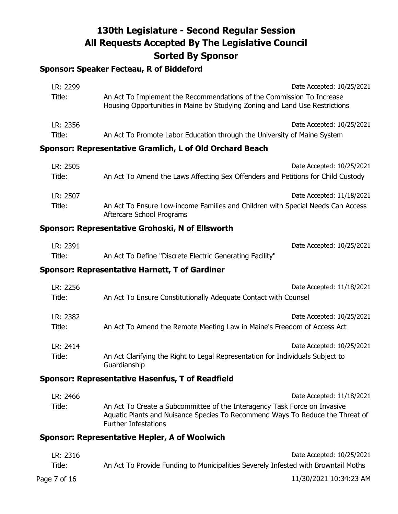# **Sponsor: Speaker Fecteau, R of Biddeford**

| LR: 2299 | Date Accepted: 10/25/2021                                                                                                                            |
|----------|------------------------------------------------------------------------------------------------------------------------------------------------------|
| Title:   | An Act To Implement the Recommendations of the Commission To Increase<br>Housing Opportunities in Maine by Studying Zoning and Land Use Restrictions |
| LR: 2356 | Date Accepted: 10/25/2021                                                                                                                            |
| Title:   | An Act To Promote Labor Education through the University of Maine System                                                                             |

## **Sponsor: Representative Gramlich, L of Old Orchard Beach**

| LR: 2505 | Date Accepted: 10/25/2021                                                                                    |
|----------|--------------------------------------------------------------------------------------------------------------|
| Title:   | An Act To Amend the Laws Affecting Sex Offenders and Petitions for Child Custody                             |
| LR: 2507 | Date Accepted: 11/18/2021                                                                                    |
| Title:   | An Act To Ensure Low-income Families and Children with Special Needs Can Access<br>Aftercare School Programs |

# **Sponsor: Representative Grohoski, N of Ellsworth**

| LR: 2391 |                                                          | Date Accepted: 10/25/2021 |
|----------|----------------------------------------------------------|---------------------------|
| Title:   | An Act To Define "Discrete Electric Generating Facility" |                           |

## **Sponsor: Representative Harnett, T of Gardiner**

| LR: 2256           | Date Accepted: 11/18/2021                                                                                                   |
|--------------------|-----------------------------------------------------------------------------------------------------------------------------|
| Title:             | An Act To Ensure Constitutionally Adequate Contact with Counsel                                                             |
| LR: 2382           | Date Accepted: 10/25/2021                                                                                                   |
| Title:             | An Act To Amend the Remote Meeting Law in Maine's Freedom of Access Act                                                     |
| LR: 2414<br>Title: | Date Accepted: 10/25/2021<br>An Act Clarifying the Right to Legal Representation for Individuals Subject to<br>Guardianship |

### **Sponsor: Representative Hasenfus, T of Readfield**

| LR: 2466 | Date Accepted: 11/18/2021                                                                                                                                                                 |
|----------|-------------------------------------------------------------------------------------------------------------------------------------------------------------------------------------------|
| Title:   | An Act To Create a Subcommittee of the Interagency Task Force on Invasive<br>Aquatic Plants and Nuisance Species To Recommend Ways To Reduce the Threat of<br><b>Further Infestations</b> |

## **Sponsor: Representative Hepler, A of Woolwich**

| LR: 2316     | Date Accepted: 10/25/2021                                                          |
|--------------|------------------------------------------------------------------------------------|
| Title:       | An Act To Provide Funding to Municipalities Severely Infested with Browntail Moths |
| Page 7 of 16 | 11/30/2021 10:34:23 AM                                                             |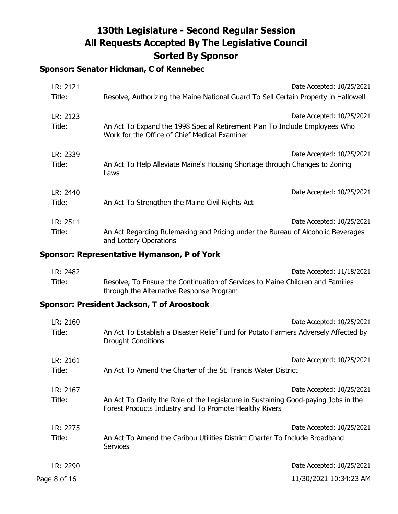# **Sponsor: Senator Hickman, C of Kennebec**

| LR: 2121<br>Title: | Resolve, Authorizing the Maine National Guard To Sell Certain Property in Hallowell                                         | Date Accepted: 10/25/2021 |
|--------------------|-----------------------------------------------------------------------------------------------------------------------------|---------------------------|
| LR: 2123<br>Title: | An Act To Expand the 1998 Special Retirement Plan To Include Employees Who<br>Work for the Office of Chief Medical Examiner | Date Accepted: 10/25/2021 |
| LR: 2339<br>Title: | An Act To Help Alleviate Maine's Housing Shortage through Changes to Zoning<br>Laws                                         | Date Accepted: 10/25/2021 |
| LR: 2440<br>Title: | An Act To Strengthen the Maine Civil Rights Act                                                                             | Date Accepted: 10/25/2021 |
| LR: 2511<br>Title: | An Act Regarding Rulemaking and Pricing under the Bureau of Alcoholic Beverages<br>and Lottery Operations                   | Date Accepted: 10/25/2021 |

## **Sponsor: Representative Hymanson, P of York**

| LR: 2482 | Date Accepted: 11/18/2021                                                                                                  |
|----------|----------------------------------------------------------------------------------------------------------------------------|
| Title:   | Resolve, To Ensure the Continuation of Services to Maine Children and Families<br>through the Alternative Response Program |

## **Sponsor: President Jackson, T of Aroostook**

| LR: 2160           | Date Accepted: 10/25/2021                                                                                                                                                  |
|--------------------|----------------------------------------------------------------------------------------------------------------------------------------------------------------------------|
| Title:             | An Act To Establish a Disaster Relief Fund for Potato Farmers Adversely Affected by<br><b>Drought Conditions</b>                                                           |
| LR: 2161<br>Title: | Date Accepted: 10/25/2021<br>An Act To Amend the Charter of the St. Francis Water District                                                                                 |
| LR: 2167<br>Title: | Date Accepted: 10/25/2021<br>An Act To Clarify the Role of the Legislature in Sustaining Good-paying Jobs in the<br>Forest Products Industry and To Promote Healthy Rivers |
| LR: 2275<br>Title: | Date Accepted: 10/25/2021<br>An Act To Amend the Caribou Utilities District Charter To Include Broadband<br><b>Services</b>                                                |
| LR: 2290           | Date Accepted: 10/25/2021                                                                                                                                                  |
| Page 8 of 16       | 11/30/2021 10:34:23 AM                                                                                                                                                     |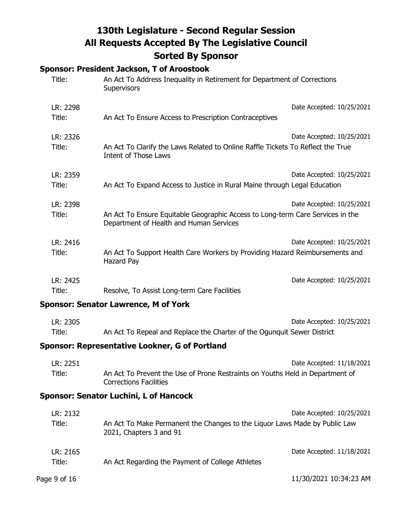## **Sponsor: President Jackson, T of Aroostook**

| Title:             | An Act To Address Inequality in Retirement for Department of Corrections<br><b>Supervisors</b>                            |                           |
|--------------------|---------------------------------------------------------------------------------------------------------------------------|---------------------------|
| LR: 2298<br>Title: | An Act To Ensure Access to Prescription Contraceptives                                                                    | Date Accepted: 10/25/2021 |
| LR: 2326<br>Title: | An Act To Clarify the Laws Related to Online Raffle Tickets To Reflect the True<br>Intent of Those Laws                   | Date Accepted: 10/25/2021 |
| LR: 2359<br>Title: | An Act To Expand Access to Justice in Rural Maine through Legal Education                                                 | Date Accepted: 10/25/2021 |
| LR: 2398<br>Title: | An Act To Ensure Equitable Geographic Access to Long-term Care Services in the<br>Department of Health and Human Services | Date Accepted: 10/25/2021 |
| LR: 2416<br>Title: | An Act To Support Health Care Workers by Providing Hazard Reimbursements and<br>Hazard Pay                                | Date Accepted: 10/25/2021 |
| LR: 2425<br>Title: | Resolve, To Assist Long-term Care Facilities                                                                              | Date Accepted: 10/25/2021 |

#### **Sponsor: Senator Lawrence, M of York**

| LR: 2305 | Date Accepted: 10/25/2021                                               |
|----------|-------------------------------------------------------------------------|
| Title:   | An Act To Repeal and Replace the Charter of the Ogunguit Sewer District |

## **Sponsor: Representative Lookner, G of Portland**

| LR: 2251 | Date Accepted: 11/18/2021                                                                                      |
|----------|----------------------------------------------------------------------------------------------------------------|
| Title:   | An Act To Prevent the Use of Prone Restraints on Youths Held in Department of<br><b>Corrections Facilities</b> |

## **Sponsor: Senator Luchini, L of Hancock**

| LR: 2132<br>Title: | An Act To Make Permanent the Changes to the Liquor Laws Made by Public Law<br>2021, Chapters 3 and 91 | Date Accepted: 10/25/2021 |
|--------------------|-------------------------------------------------------------------------------------------------------|---------------------------|
| LR: 2165<br>Title: | An Act Regarding the Payment of College Athletes                                                      | Date Accepted: 11/18/2021 |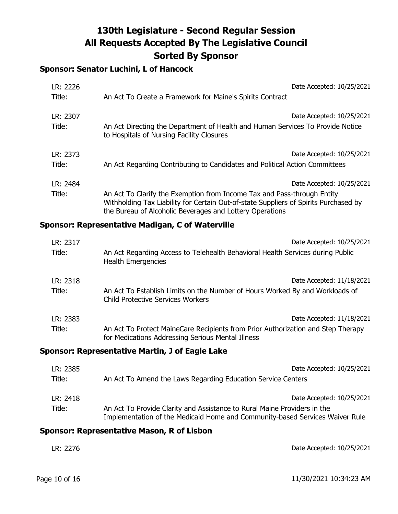# **Sponsor: Senator Luchini, L of Hancock**

| LR: 2226<br>Title: | Date Accepted: 10/25/2021<br>An Act To Create a Framework for Maine's Spirits Contract                                                                                                                                      |
|--------------------|-----------------------------------------------------------------------------------------------------------------------------------------------------------------------------------------------------------------------------|
| LR: 2307<br>Title: | Date Accepted: 10/25/2021<br>An Act Directing the Department of Health and Human Services To Provide Notice<br>to Hospitals of Nursing Facility Closures                                                                    |
| LR: 2373<br>Title: | Date Accepted: 10/25/2021<br>An Act Regarding Contributing to Candidates and Political Action Committees                                                                                                                    |
| LR: 2484           | Date Accepted: 10/25/2021                                                                                                                                                                                                   |
| Title:             | An Act To Clarify the Exemption from Income Tax and Pass-through Entity<br>Withholding Tax Liability for Certain Out-of-state Suppliers of Spirits Purchased by<br>the Bureau of Alcoholic Beverages and Lottery Operations |

### **Sponsor: Representative Madigan, C of Waterville**

| LR: 2317                                        | Date Accepted: 10/25/2021                                                                                                             |
|-------------------------------------------------|---------------------------------------------------------------------------------------------------------------------------------------|
| Title:                                          | An Act Regarding Access to Telehealth Behavioral Health Services during Public<br><b>Health Emergencies</b>                           |
| LR: 2318                                        | Date Accepted: 11/18/2021                                                                                                             |
| Title:                                          | An Act To Establish Limits on the Number of Hours Worked By and Workloads of<br><b>Child Protective Services Workers</b>              |
| LR: 2383                                        | Date Accepted: 11/18/2021                                                                                                             |
| Title:                                          | An Act To Protect MaineCare Recipients from Prior Authorization and Step Therapy<br>for Medications Addressing Serious Mental Illness |
| Sponsor: Representative Martin, J of Eagle Lake |                                                                                                                                       |

| LR: 2385 | Date Accepted: 10/25/2021                                                                                                                                |
|----------|----------------------------------------------------------------------------------------------------------------------------------------------------------|
| Title:   | An Act To Amend the Laws Regarding Education Service Centers                                                                                             |
| LR: 2418 | Date Accepted: 10/25/2021                                                                                                                                |
| Title:   | An Act To Provide Clarity and Assistance to Rural Maine Providers in the<br>Implementation of the Medicaid Home and Community-based Services Waiver Rule |

## **Sponsor: Representative Mason, R of Lisbon**

| LR: 2276 | Date Accepted: 10/25/2021 |
|----------|---------------------------|
|          |                           |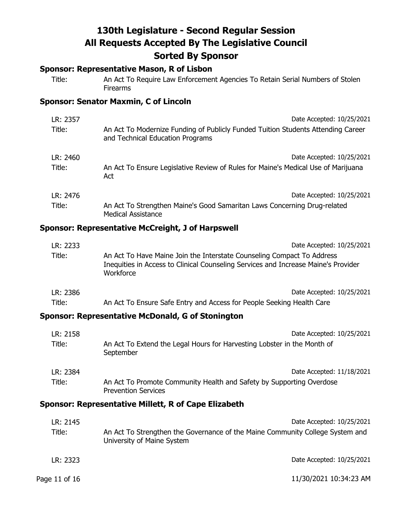### **Sponsor: Representative Mason, R of Lisbon**

Title: An Act To Require Law Enforcement Agencies To Retain Serial Numbers of Stolen Firearms

## **Sponsor: Senator Maxmin, C of Lincoln**

| LR: 2357 | Date Accepted: 10/25/2021                                                                                            |
|----------|----------------------------------------------------------------------------------------------------------------------|
| Title:   | An Act To Modernize Funding of Publicly Funded Tuition Students Attending Career<br>and Technical Education Programs |
| LR: 2460 | Date Accepted: 10/25/2021                                                                                            |
| Title:   | An Act To Ensure Legislative Review of Rules for Maine's Medical Use of Marijuana<br>Act                             |
| LR: 2476 | Date Accepted: 10/25/2021                                                                                            |
| Title:   | An Act To Strengthen Maine's Good Samaritan Laws Concerning Drug-related<br><b>Medical Assistance</b>                |

## **Sponsor: Representative McCreight, J of Harpswell**

| LR: 2233 | Date Accepted: 10/25/2021                                                                                                                                                 |
|----------|---------------------------------------------------------------------------------------------------------------------------------------------------------------------------|
| Title:   | An Act To Have Maine Join the Interstate Counseling Compact To Address<br>Inequities in Access to Clinical Counseling Services and Increase Maine's Provider<br>Workforce |
| LR: 2386 | Date Accepted: 10/25/2021                                                                                                                                                 |

# Title: An Act To Ensure Safe Entry and Access for People Seeking Health Care

## **Sponsor: Representative McDonald, G of Stonington**

| LR: 2158 | Date Accepted: 10/25/2021                                                                          |
|----------|----------------------------------------------------------------------------------------------------|
| Title:   | An Act To Extend the Legal Hours for Harvesting Lobster in the Month of<br>September               |
| LR: 2384 | Date Accepted: 11/18/2021                                                                          |
| Title:   | An Act To Promote Community Health and Safety by Supporting Overdose<br><b>Prevention Services</b> |

#### **Sponsor: Representative Millett, R of Cape Elizabeth**

| LR: 2145      | Date Accepted: 10/25/2021                                                                                   |
|---------------|-------------------------------------------------------------------------------------------------------------|
| Title:        | An Act To Strengthen the Governance of the Maine Community College System and<br>University of Maine System |
| LR: 2323      | Date Accepted: 10/25/2021                                                                                   |
| Page 11 of 16 | 11/30/2021 10:34:23 AM                                                                                      |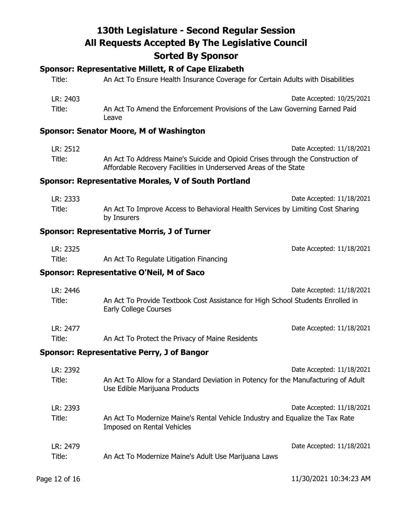## **Sponsor: Representative Millett, R of Cape Elizabeth**

| Title:   | An Act To Ensure Health Insurance Coverage for Certain Adults with Disabilities      |
|----------|--------------------------------------------------------------------------------------|
| LR: 2403 | Date Accepted: 10/25/2021                                                            |
| Title:   | An Act To Amend the Enforcement Provisions of the Law Governing Earned Paid<br>Leave |

## **Sponsor: Senator Moore, M of Washington**

| LR: 2512 | Date Accepted: 11/18/2021                                                       |
|----------|---------------------------------------------------------------------------------|
| Title:   | An Act To Address Maine's Suicide and Opioid Crises through the Construction of |
|          | Affordable Recovery Facilities in Underserved Areas of the State                |

## **Sponsor: Representative Morales, V of South Portland**

| LR: 2333 | Date Accepted: 11/18/2021                                                                      |
|----------|------------------------------------------------------------------------------------------------|
| Title:   | An Act To Improve Access to Behavioral Health Services by Limiting Cost Sharing<br>by Insurers |

#### **Sponsor: Representative Morris, J of Turner**

| LR: 2325 |                                         | Date Accepted: 11/18/2021 |
|----------|-----------------------------------------|---------------------------|
| Title:   | An Act To Regulate Litigation Financing |                           |

## **Sponsor: Representative O'Neil, M of Saco**

| LR: 2446 |                                                                                                                 | Date Accepted: 11/18/2021 |
|----------|-----------------------------------------------------------------------------------------------------------------|---------------------------|
| Title:   | An Act To Provide Textbook Cost Assistance for High School Students Enrolled in<br><b>Early College Courses</b> |                           |
| LR: 2477 |                                                                                                                 | Date Accepted: 11/18/2021 |
| Title:   | An Act To Protect the Privacy of Maine Residents                                                                |                           |

#### **Sponsor: Representative Perry, J of Bangor**

| LR: 2392<br>Title: | An Act To Allow for a Standard Deviation in Potency for the Manufacturing of Adult                          | Date Accepted: 11/18/2021 |
|--------------------|-------------------------------------------------------------------------------------------------------------|---------------------------|
|                    | Use Edible Marijuana Products                                                                               |                           |
| LR: 2393           |                                                                                                             | Date Accepted: 11/18/2021 |
| Title:             | An Act To Modernize Maine's Rental Vehicle Industry and Equalize the Tax Rate<br>Imposed on Rental Vehicles |                           |
| LR: 2479           |                                                                                                             | Date Accepted: 11/18/2021 |
| Title:             | An Act To Modernize Maine's Adult Use Marijuana Laws                                                        |                           |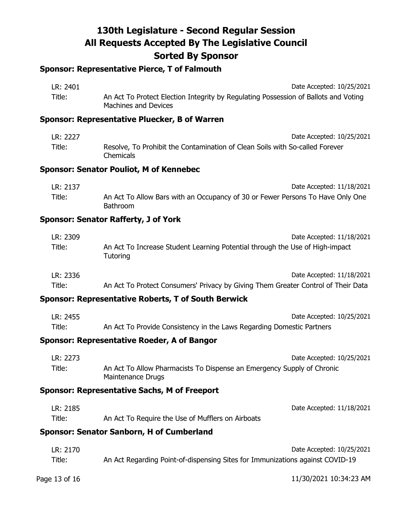# **Sponsor: Representative Pierce, T of Falmouth**

| LR: 2401 | Date Accepted: 10/25/2021                                                                                   |
|----------|-------------------------------------------------------------------------------------------------------------|
| Title:   | An Act To Protect Election Integrity by Regulating Possession of Ballots and Voting<br>Machines and Devices |

## **Sponsor: Representative Pluecker, B of Warren**

| LR: 2227 | Date Accepted: 10/25/2021                                                                 |
|----------|-------------------------------------------------------------------------------------------|
| Title:   | Resolve, To Prohibit the Contamination of Clean Soils with So-called Forever<br>Chemicals |

#### **Sponsor: Senator Pouliot, M of Kennebec**

| LR: 2137 | Date Accepted: 11/18/2021                                                                         |
|----------|---------------------------------------------------------------------------------------------------|
| Title:   | An Act To Allow Bars with an Occupancy of 30 or Fewer Persons To Have Only One<br><b>Bathroom</b> |

#### **Sponsor: Senator Rafferty, J of York**

| LR: 2309 | Date Accepted: 11/18/2021                                                                |
|----------|------------------------------------------------------------------------------------------|
| Title:   | An Act To Increase Student Learning Potential through the Use of High-impact<br>Tutoring |
| LR: 2336 | Date Accepted: 11/18/2021                                                                |
| Title:   | An Act To Protect Consumers' Privacy by Giving Them Greater Control of Their Data        |

## **Sponsor: Representative Roberts, T of South Berwick**

| LR: 2455 | Date Accepted: 10/25/2021                                             |
|----------|-----------------------------------------------------------------------|
| Title:   | An Act To Provide Consistency in the Laws Regarding Domestic Partners |

### **Sponsor: Representative Roeder, A of Bangor**

| LR: 2273 | Date Accepted: 10/25/2021                                                                   |
|----------|---------------------------------------------------------------------------------------------|
| Title:   | An Act To Allow Pharmacists To Dispense an Emergency Supply of Chronic<br>Maintenance Drugs |

### **Sponsor: Representative Sachs, M of Freeport**

| LR: 2185 |                                                   | Date Accepted: 11/18/2021 |
|----------|---------------------------------------------------|---------------------------|
| Title:   | An Act To Require the Use of Mufflers on Airboats |                           |

# **Sponsor: Senator Sanborn, H of Cumberland**

| LR: 2170 | Date Accepted: 10/25/2021                                                     |
|----------|-------------------------------------------------------------------------------|
| Title:   | An Act Regarding Point-of-dispensing Sites for Immunizations against COVID-19 |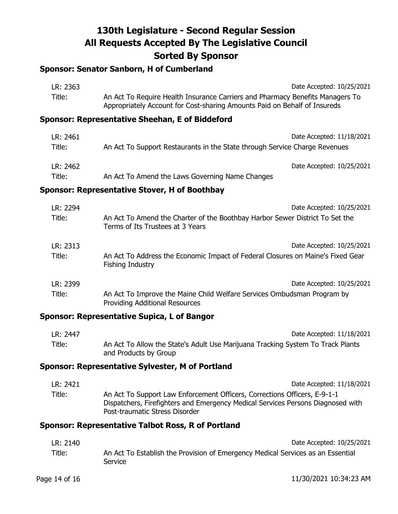# **Sponsor: Senator Sanborn, H of Cumberland**

| LR: 2363 | Date Accepted: 10/25/2021                                                                                                                                  |  |
|----------|------------------------------------------------------------------------------------------------------------------------------------------------------------|--|
| Title:   | An Act To Require Health Insurance Carriers and Pharmacy Benefits Managers To<br>Appropriately Account for Cost-sharing Amounts Paid on Behalf of Insureds |  |
|          | Sponsor: Representative Sheehan, E of Biddeford                                                                                                            |  |
| LR: 2461 | Date Accepted: 11/18/2021                                                                                                                                  |  |
| Title:   | An Act To Support Restaurants in the State through Service Charge Revenues                                                                                 |  |
| LR: 2462 | Date Accepted: 10/25/2021                                                                                                                                  |  |
| Title:   | An Act To Amend the Laws Governing Name Changes                                                                                                            |  |

### **Sponsor: Representative Stover, H of Boothbay**

| LR: 2294 | Date Accepted: 10/25/2021                                                                                        |
|----------|------------------------------------------------------------------------------------------------------------------|
| Title:   | An Act To Amend the Charter of the Boothbay Harbor Sewer District To Set the<br>Terms of Its Trustees at 3 Years |
| LR: 2313 | Date Accepted: 10/25/2021                                                                                        |
| Title:   | An Act To Address the Economic Impact of Federal Closures on Maine's Fixed Gear<br>Fishing Industry              |
| LR: 2399 | Date Accepted: 10/25/2021                                                                                        |
| Title:   | An Act To Improve the Maine Child Welfare Services Ombudsman Program by<br><b>Providing Additional Resources</b> |

# **Sponsor: Representative Supica, L of Bangor**

| LR: 2447 | Date Accepted: 11/18/2021                                                                                |
|----------|----------------------------------------------------------------------------------------------------------|
| Title:   | An Act To Allow the State's Adult Use Marijuana Tracking System To Track Plants<br>and Products by Group |

# **Sponsor: Representative Sylvester, M of Portland**

| LR: 2421 | Date Accepted: 11/18/2021                                                                                                                                                                      |
|----------|------------------------------------------------------------------------------------------------------------------------------------------------------------------------------------------------|
| Title:   | An Act To Support Law Enforcement Officers, Corrections Officers, E-9-1-1<br>Dispatchers, Firefighters and Emergency Medical Services Persons Diagnosed with<br>Post-traumatic Stress Disorder |

#### **Sponsor: Representative Talbot Ross, R of Portland**

| LR: 2140 | Date Accepted: 10/25/2021                                                                  |
|----------|--------------------------------------------------------------------------------------------|
| Title:   | An Act To Establish the Provision of Emergency Medical Services as an Essential<br>Service |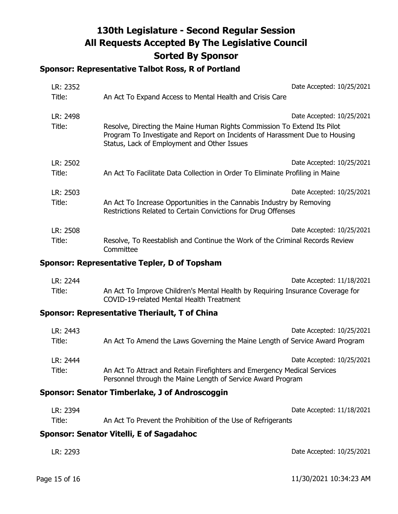## **Sponsor: Representative Talbot Ross, R of Portland**

| LR: 2352<br>Title: | An Act To Expand Access to Mental Health and Crisis Care                                                                                                                                               | Date Accepted: 10/25/2021 |
|--------------------|--------------------------------------------------------------------------------------------------------------------------------------------------------------------------------------------------------|---------------------------|
| LR: 2498<br>Title: | Resolve, Directing the Maine Human Rights Commission To Extend Its Pilot<br>Program To Investigate and Report on Incidents of Harassment Due to Housing<br>Status, Lack of Employment and Other Issues | Date Accepted: 10/25/2021 |
| LR: 2502<br>Title: | An Act To Facilitate Data Collection in Order To Eliminate Profiling in Maine                                                                                                                          | Date Accepted: 10/25/2021 |
| LR: 2503<br>Title: | An Act To Increase Opportunities in the Cannabis Industry by Removing<br>Restrictions Related to Certain Convictions for Drug Offenses                                                                 | Date Accepted: 10/25/2021 |
| LR: 2508<br>Title: | Resolve, To Reestablish and Continue the Work of the Criminal Records Review<br>Committee                                                                                                              | Date Accepted: 10/25/2021 |

## **Sponsor: Representative Tepler, D of Topsham**

| LR: 2244 | Date Accepted: 11/18/2021                                                      |
|----------|--------------------------------------------------------------------------------|
| Title:   | An Act To Improve Children's Mental Health by Requiring Insurance Coverage for |
|          | COVID-19-related Mental Health Treatment                                       |

## **Sponsor: Representative Theriault, T of China**

| LR: 2443 | Date Accepted: 10/25/2021                                                                                                               |
|----------|-----------------------------------------------------------------------------------------------------------------------------------------|
| Title:   | An Act To Amend the Laws Governing the Maine Length of Service Award Program                                                            |
| LR: 2444 | Date Accepted: 10/25/2021                                                                                                               |
| Title:   | An Act To Attract and Retain Firefighters and Emergency Medical Services<br>Personnel through the Maine Length of Service Award Program |

### **Sponsor: Senator Timberlake, J of Androscoggin**

| LR: 2394 | Date Accepted: 11/18/2021                                    |
|----------|--------------------------------------------------------------|
| Title:   | An Act To Prevent the Prohibition of the Use of Refrigerants |

# **Sponsor: Senator Vitelli, E of Sagadahoc**

| LR: 2293 | Date Accepted: 10/25/2021 |
|----------|---------------------------|
|          |                           |